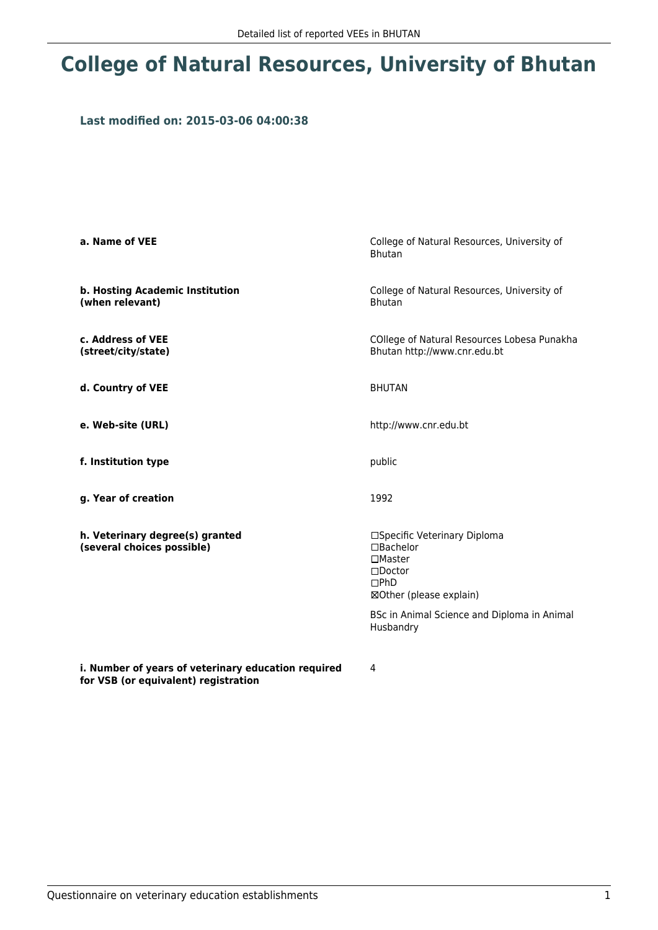## **College of Natural Resources, University of Bhutan**

## **Last modified on: 2015-03-06 04:00:38**

| a. Name of VEE                                                | College of Natural Resources, University of<br><b>Bhutan</b>                                                                                                                                       |  |
|---------------------------------------------------------------|----------------------------------------------------------------------------------------------------------------------------------------------------------------------------------------------------|--|
| b. Hosting Academic Institution<br>(when relevant)            | College of Natural Resources, University of<br><b>Bhutan</b>                                                                                                                                       |  |
| c. Address of VEE<br>(street/city/state)                      | COllege of Natural Resources Lobesa Punakha<br>Bhutan http://www.cnr.edu.bt                                                                                                                        |  |
| d. Country of VEE                                             | <b>BHUTAN</b>                                                                                                                                                                                      |  |
| e. Web-site (URL)                                             | http://www.cnr.edu.bt                                                                                                                                                                              |  |
| f. Institution type                                           | public                                                                                                                                                                                             |  |
| g. Year of creation                                           | 1992                                                                                                                                                                                               |  |
| h. Veterinary degree(s) granted<br>(several choices possible) | □Specific Veterinary Diploma<br>$\square$ Bachelor<br>$\square$ Master<br>$\square$ Doctor<br>$\square$ PhD<br>⊠Other (please explain)<br>BSc in Animal Science and Diploma in Animal<br>Husbandry |  |

**i. Number of years of veterinary education required for VSB (or equivalent) registration**

4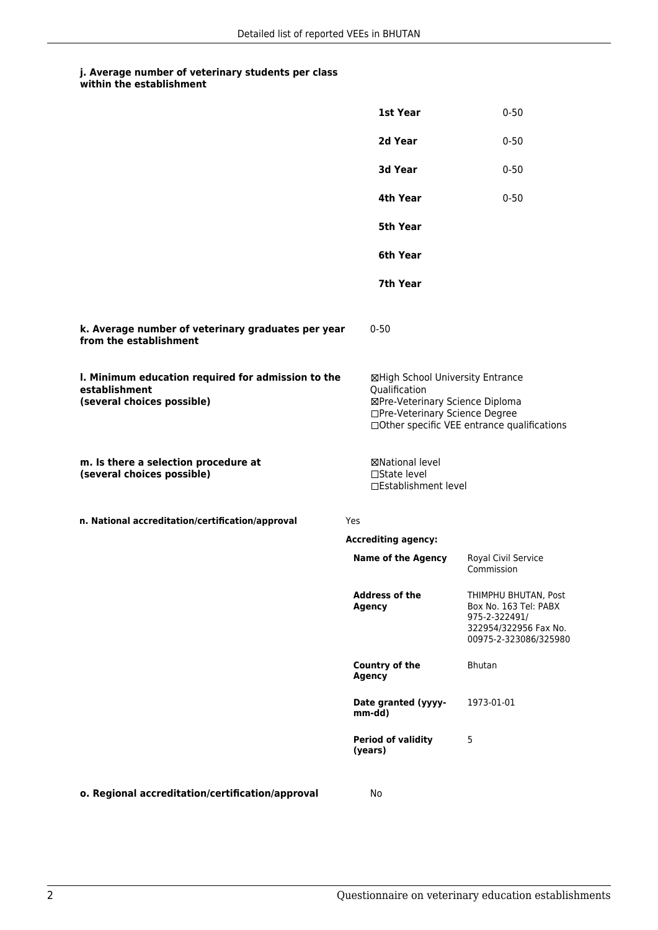## **j. Average number of veterinary students per class within the establishment**

|                                                                                                   | 1st Year                                                         | $0 - 50$                                                                                                                                             |  |
|---------------------------------------------------------------------------------------------------|------------------------------------------------------------------|------------------------------------------------------------------------------------------------------------------------------------------------------|--|
|                                                                                                   | 2d Year                                                          | $0 - 50$                                                                                                                                             |  |
|                                                                                                   | 3d Year                                                          | $0 - 50$                                                                                                                                             |  |
|                                                                                                   | 4th Year                                                         | $0 - 50$                                                                                                                                             |  |
|                                                                                                   | <b>5th Year</b>                                                  |                                                                                                                                                      |  |
|                                                                                                   | 6th Year                                                         |                                                                                                                                                      |  |
|                                                                                                   | 7th Year                                                         |                                                                                                                                                      |  |
| k. Average number of veterinary graduates per year<br>from the establishment                      | $0 - 50$                                                         |                                                                                                                                                      |  |
| I. Minimum education required for admission to the<br>establishment<br>(several choices possible) | Qualification                                                    | ⊠High School University Entrance<br>⊠Pre-Veterinary Science Diploma<br>□Pre-Veterinary Science Degree<br>□Other specific VEE entrance qualifications |  |
| m. Is there a selection procedure at<br>(several choices possible)                                | ⊠National level<br>$\square$ State level<br>□Establishment level |                                                                                                                                                      |  |
| n. National accreditation/certification/approval                                                  | Yes                                                              |                                                                                                                                                      |  |
|                                                                                                   | <b>Accrediting agency:</b>                                       |                                                                                                                                                      |  |
|                                                                                                   | <b>Name of the Agency</b>                                        | <b>Royal Civil Service</b><br>Commission                                                                                                             |  |
|                                                                                                   | <b>Address of the</b><br><b>Agency</b>                           | THIMPHU BHUTAN, Post<br>Box No. 163 Tel: PABX<br>975-2-322491/<br>322954/322956 Fax No.<br>00975-2-323086/325980                                     |  |
|                                                                                                   | <b>Country of the</b><br><b>Agency</b>                           | <b>Bhutan</b>                                                                                                                                        |  |
|                                                                                                   | Date granted (yyyy-<br>mm-dd)                                    | 1973-01-01                                                                                                                                           |  |
|                                                                                                   | <b>Period of validity</b><br>(years)                             | 5                                                                                                                                                    |  |
| o. Regional accreditation/certification/approval                                                  | No                                                               |                                                                                                                                                      |  |